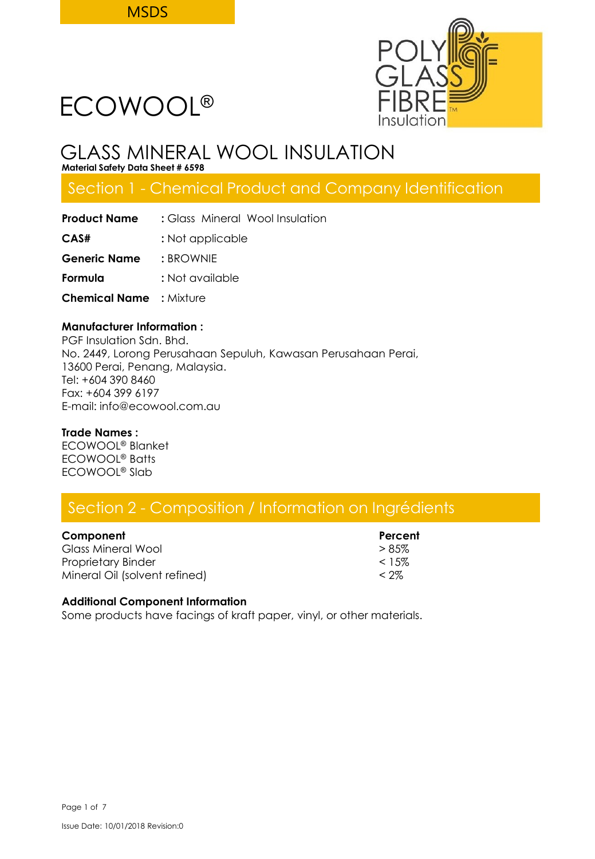

## GLASS MINERAL WOOL INSULATION

**Material Safety Data Sheet # 6598**

## Section 1 - Chemical Product and Company Identification

| <b>Product Name</b>            | : Glass Mineral Wool Insulation |  |  |  |
|--------------------------------|---------------------------------|--|--|--|
| CAS#                           | : Not applicable                |  |  |  |
| <b>Generic Name</b>            | : BROWNIE                       |  |  |  |
| Formula                        | : Not available                 |  |  |  |
| <b>Chemical Name : Mixture</b> |                                 |  |  |  |

### **Manufacturer Information :**

PGF Insulation Sdn. Bhd. No. 2449, Lorong Perusahaan Sepuluh, Kawasan Perusahaan Perai, 13600 Perai, Penang, Malaysia. Tel: +604 390 8460 Fax: +604 399 6197 E-mail: info@ecowool.com.au

### **Trade Names :**

ECOWOOL® Blanket ECOWOOL® Batts ECOWOOL® Slab

## Section 2 - Composition / Information on Ingrédients

### **Component Component Percent**

Glass Mineral Wool  $> 85\%$ Proprietary Binder  $\sim$  15% Mineral Oil (solvent refined) < 2%

### **Additional Component Information**

Some products have facings of kraft paper, vinyl, or other materials.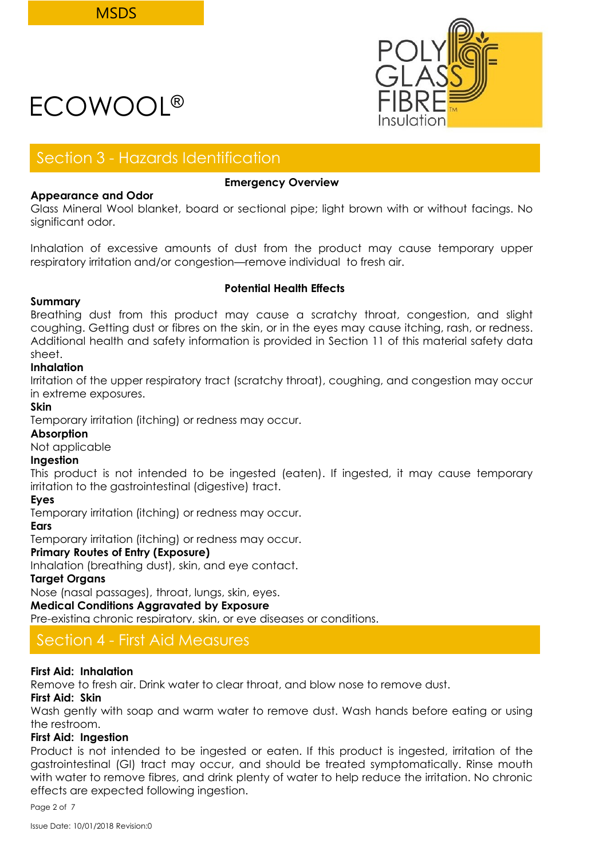

### Section 3 - Hazards Identification

### **Appearance and Odor**

### **Emergency Overview**

Glass Mineral Wool blanket, board or sectional pipe; light brown with or without facings. No significant odor.

Inhalation of excessive amounts of dust from the product may cause temporary upper respiratory irritation and/or congestion—remove individual to fresh air.

### **Summary**

### **Potential Health Effects**

Breathing dust from this product may cause a scratchy throat, congestion, and slight coughing. Getting dust or fibres on the skin, or in the eyes may cause itching, rash, or redness. Additional health and safety information is provided in Section 11 of this material safety data sheet.

### **Inhalation**

Irritation of the upper respiratory tract (scratchy throat), coughing, and congestion may occur in extreme exposures.

### **Skin**

Temporary irritation (itching) or redness may occur.

### **Absorption**

Not applicable

### **Ingestion**

This product is not intended to be ingested (eaten). If ingested, it may cause temporary irritation to the gastrointestinal (digestive) tract.

### **Eyes**

Temporary irritation (itching) or redness may occur.

### **Ears**

Temporary irritation (itching) or redness may occur.

### **Primary Routes of Entry (Exposure)**

Inhalation (breathing dust), skin, and eye contact.

### **Target Organs**

Nose (nasal passages), throat, lungs, skin, eyes.

### **Medical Conditions Aggravated by Exposure**

Pre-existing chronic respiratory, skin, or eye diseases or conditions.

### Section 4 - First Aid Measures

### **First Aid: Inhalation**

Remove to fresh air. Drink water to clear throat, and blow nose to remove dust.

### **First Aid: Skin**

Wash gently with soap and warm water to remove dust. Wash hands before eating or using the restroom.

### **First Aid: Ingestion**

Product is not intended to be ingested or eaten. If this product is ingested, irritation of the gastrointestinal (GI) tract may occur, and should be treated symptomatically. Rinse mouth with water to remove fibres, and drink plenty of water to help reduce the irritation. No chronic effects are expected following ingestion.

Page 2 of 7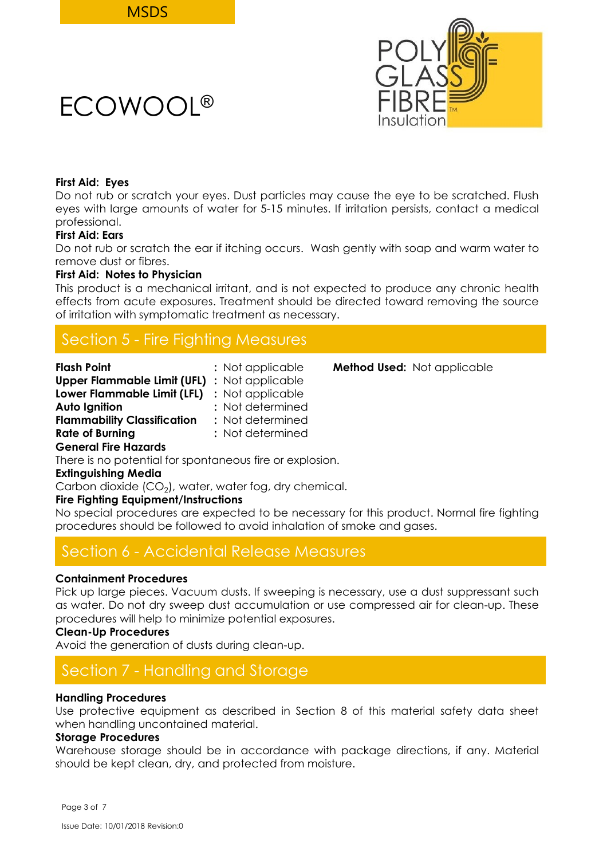### **First Aid: Eyes**

Do not rub or scratch your eyes. Dust particles may cause the eye to be scratched. Flush eyes with large amounts of water for 5-15 minutes. If irritation persists, contact a medical professional.

### **First Aid: Ears**

Do not rub or scratch the ear if itching occurs. Wash gently with soap and warm water to remove dust or fibres.

### **First Aid: Notes to Physician**

This product is a mechanical irritant, and is not expected to produce any chronic health effects from acute exposures. Treatment should be directed toward removing the source of irritation with symptomatic treatment as necessary.

## Section 5 - Fire Fighting Measures

| <b>Flash Point</b>                                  | : Not applicable | <b>Method Used:</b> Not applicable |
|-----------------------------------------------------|------------------|------------------------------------|
| <b>Upper Flammable Limit (UFL)</b> : Not applicable |                  |                                    |
| Lower Flammable Limit (LFL) : Not applicable        |                  |                                    |
| Auto Ignition                                       | : Not determined |                                    |
| <b>Flammability Classification</b>                  | : Not determined |                                    |
| <b>Rate of Burning</b>                              | : Not determined |                                    |
| <b>General Fire Hazards</b>                         |                  |                                    |

There is no potential for spontaneous fire or explosion.

### **Extinguishing Media**

Carbon dioxide (CO $_2$ ), water, water fog, dry chemical.

### **Fire Fighting Equipment/Instructions**

No special procedures are expected to be necessary for this product. Normal fire fighting procedures should be followed to avoid inhalation of smoke and gases.

### Section 6 - Accidental Release Measures

### **Containment Procedures**

Pick up large pieces. Vacuum dusts. If sweeping is necessary, use a dust suppressant such as water. Do not dry sweep dust accumulation or use compressed air for clean-up. These procedures will help to minimize potential exposures.

### **Clean-Up Procedures**

Avoid the generation of dusts during clean-up.

## Section 7 - Handling and Storage

### **Handling Procedures**

Use protective equipment as described in Section 8 of this material safety data sheet when handling uncontained material.

### **Storage Procedures**

Warehouse storage should be in accordance with package directions, if any. Material should be kept clean, dry, and protected from moisture.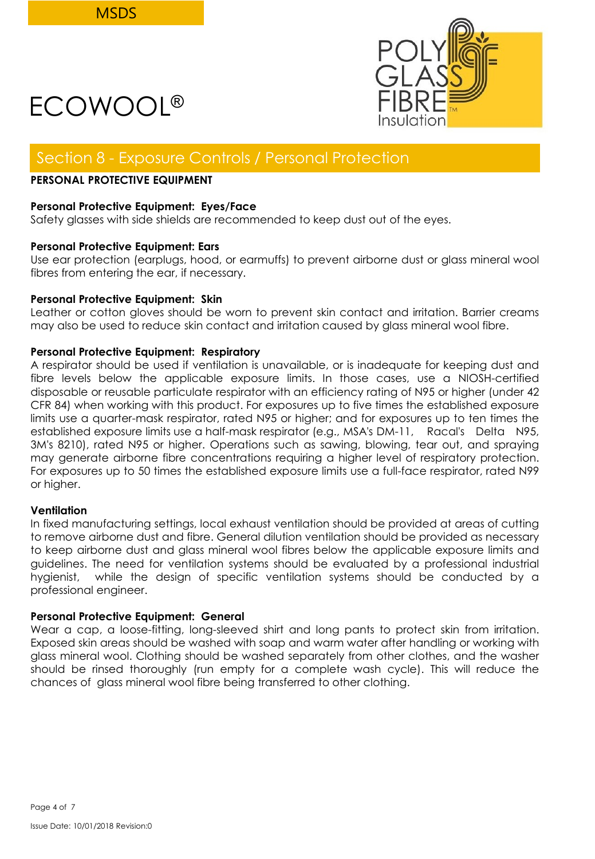

### Section 8 - Exposure Controls / Personal Protection

### **PERSONAL PROTECTIVE EQUIPMENT**

#### **Personal Protective Equipment: Eyes/Face**

Safety glasses with side shields are recommended to keep dust out of the eyes.

### **Personal Protective Equipment: Ears**

Use ear protection (earplugs, hood, or earmuffs) to prevent airborne dust or glass mineral wool fibres from entering the ear, if necessary.

### **Personal Protective Equipment: Skin**

Leather or cotton gloves should be worn to prevent skin contact and irritation. Barrier creams may also be used to reduce skin contact and irritation caused by glass mineral wool fibre.

### **Personal Protective Equipment: Respiratory**

A respirator should be used if ventilation is unavailable, or is inadequate for keeping dust and fibre levels below the applicable exposure limits. In those cases, use a NIOSH-certified disposable or reusable particulate respirator with an efficiency rating of N95 or higher (under 42 CFR 84) when working with this product. For exposures up to five times the established exposure limits use a quarter-mask respirator, rated N95 or higher; and for exposures up to ten times the established exposure limits use a half-mask respirator (e.g., MSA's DM-11, Racal's Delta N95, 3M's 8210), rated N95 or higher. Operations such as sawing, blowing, tear out, and spraying may generate airborne fibre concentrations requiring a higher level of respiratory protection. For exposures up to 50 times the established exposure limits use a full-face respirator, rated N99 or higher.

#### **Ventilation**

In fixed manufacturing settings, local exhaust ventilation should be provided at areas of cutting to remove airborne dust and fibre. General dilution ventilation should be provided as necessary to keep airborne dust and glass mineral wool fibres below the applicable exposure limits and guidelines. The need for ventilation systems should be evaluated by a professional industrial hygienist, while the design of specific ventilation systems should be conducted by a professional engineer.

### **Personal Protective Equipment: General**

Wear a cap, a loose-fitting, long-sleeved shirt and long pants to protect skin from irritation. Exposed skin areas should be washed with soap and warm water after handling or working with glass mineral wool. Clothing should be washed separately from other clothes, and the washer should be rinsed thoroughly (run empty for a complete wash cycle). This will reduce the chances of glass mineral wool fibre being transferred to other clothing.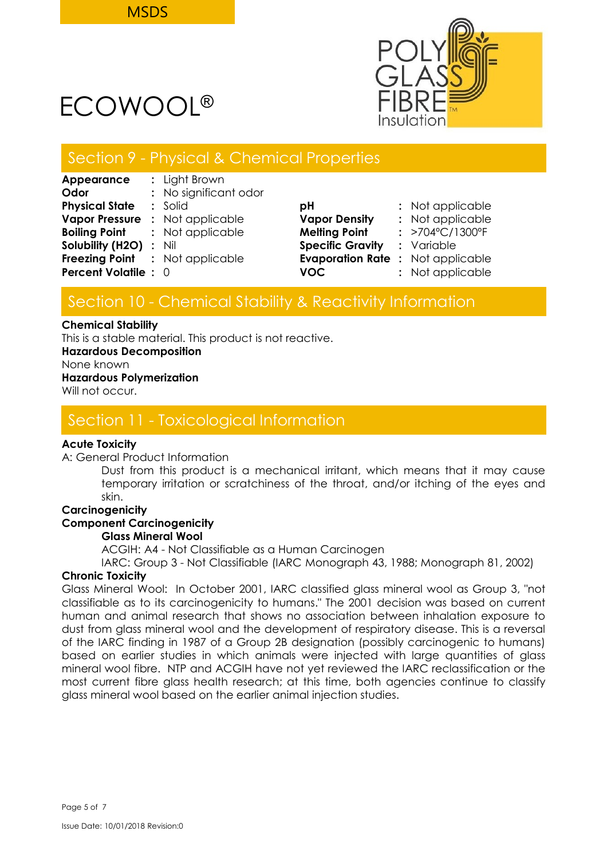

### Section 9 - Physical & Chemical Properties

| Appearance                    | : Light Brown                          |                                         |                                 |
|-------------------------------|----------------------------------------|-----------------------------------------|---------------------------------|
| Odor                          | : No significant odor                  |                                         |                                 |
| <b>Physical State</b>         | $:$ Solid                              | рH                                      | : Not applicable                |
| <b>Vapor Pressure</b>         | : Not applicable                       | <b>Vapor Density</b>                    | : Not applicable                |
| Boiling Point                 | : Not applicable                       | <b>Melting Point</b>                    | : $>704^{\circ}C/1300^{\circ}F$ |
| <b>Solubility (H2O) : Nil</b> |                                        | <b>Specific Gravity</b>                 | : Variable                      |
|                               | <b>Freezing Point : Not applicable</b> | <b>Evaporation Rate: Not applicable</b> |                                 |
| <b>Percent Volatile : 0</b>   |                                        | <b>VOC</b>                              | : Not applicable                |
|                               |                                        |                                         |                                 |

| рH                      | : Not applicable |
|-------------------------|------------------|
| <b>Vapor Density</b>    | : Not applicable |
| <b>Melting Point</b>    | : >704°C/1300°F  |
| <b>Specific Gravity</b> | : Variable       |
| <b>Evaporation Rate</b> | : Not applicable |
| <b>VOC</b>              | : Not applicable |

## Section 10 - Chemical Stability & Reactivity Information

#### **Chemical Stability**

This is a stable material. This product is not reactive.

**Hazardous Decomposition**

None known

### **Hazardous Polymerization**

Will not occur.

## Section 11 - Toxicological Information

### **Acute Toxicity**

A: General Product Information

Dust from this product is a mechanical irritant, which means that it may cause temporary irritation or scratchiness of the throat, and/or itching of the eyes and skin.

### **Carcinogenicity**

### **Component Carcinogenicity**

### **Glass Mineral Wool**

ACGIH: A4 - Not Classifiable as a Human Carcinogen

IARC: Group 3 - Not Classifiable (IARC Monograph 43, 1988; Monograph 81, 2002)

### **Chronic Toxicity**

Glass Mineral Wool: In October 2001, IARC classified glass mineral wool as Group 3, "not classifiable as to its carcinogenicity to humans." The 2001 decision was based on current human and animal research that shows no association between inhalation exposure to dust from glass mineral wool and the development of respiratory disease. This is a reversal of the IARC finding in 1987 of a Group 2B designation (possibly carcinogenic to humans) based on earlier studies in which animals were injected with large quantities of glass mineral wool fibre. NTP and ACGIH have not yet reviewed the IARC reclassification or the most current fibre glass health research; at this time, both agencies continue to classify glass mineral wool based on the earlier animal injection studies.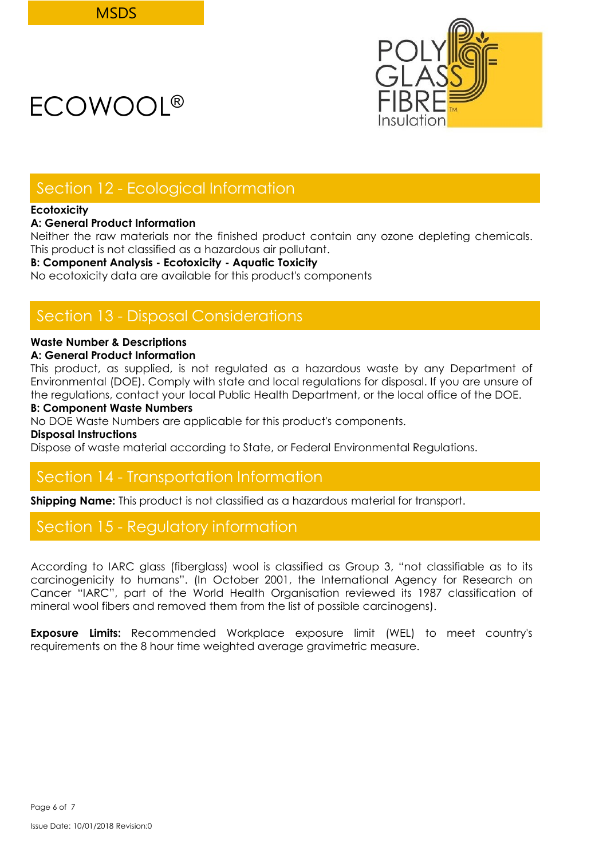

## Section 12 - Ecological Information

### **Ecotoxicity**

### **A: General Product Information**

Neither the raw materials nor the finished product contain any ozone depleting chemicals. This product is not classified as a hazardous air pollutant.

### **B: Component Analysis - Ecotoxicity - Aquatic Toxicity**

No ecotoxicity data are available for this product's components

## Section 13 - Disposal Considerations

### **Waste Number & Descriptions**

### **A: General Product Information**

This product, as supplied, is not regulated as a hazardous waste by any Department of Environmental (DOE). Comply with state and local regulations for disposal. If you are unsure of the regulations, contact your local Public Health Department, or the local office of the DOE.

### **B: Component Waste Numbers**

No DOE Waste Numbers are applicable for this product's components.

**Disposal Instructions**

Dispose of waste material according to State, or Federal Environmental Regulations.

## Section 14 - Transportation Information

**Shipping Name:** This product is not classified as a hazardous material for transport.

## Section 15 - Regulatory information

According to IARC glass (fiberglass) wool is classified as Group 3, "not classifiable as to its carcinogenicity to humans". (In October 2001, the International Agency for Research on Cancer "IARC", part of the World Health Organisation reviewed its 1987 classification of mineral wool fibers and removed them from the list of possible carcinogens).

**Exposure Limits:** Recommended Workplace exposure limit (WEL) to meet country's requirements on the 8 hour time weighted average gravimetric measure.